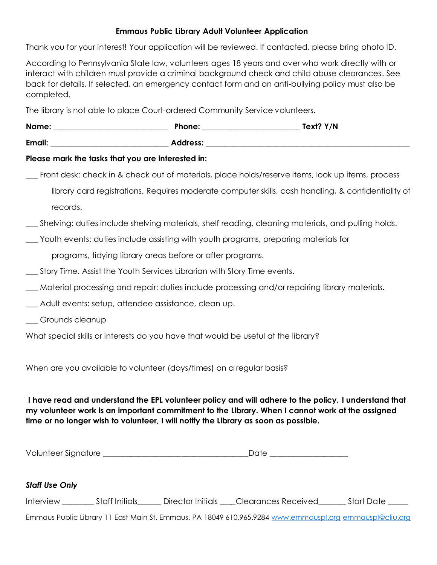## **Emmaus Public Library Adult Volunteer Application**

Thank you for your interest! Your application will be reviewed. If contacted, please bring photo ID.

According to Pennsylvania State law, volunteers ages 18 years and over who work directly with or interact with children must provide a criminal background check and child abuse clearances. See back for details. If selected, an emergency contact form and an anti-bullying policy must also be completed.

The library is not able to place Court-ordered Community Service volunteers.

| Name:  | Phone:   | Text? Y/N |
|--------|----------|-----------|
| Email: | Address: |           |

## **Please mark the tasks that you are interested in:**

\_\_\_ Front desk: check in & check out of materials, place holds/reserve items, look up items, process library card registrations. Requires moderate computer skills, cash handling, & confidentiality of

records.

- \_\_\_ Shelving: duties include shelving materials, shelf reading, cleaning materials, and pulling holds.
- \_\_\_ Youth events: duties include assisting with youth programs, preparing materials for

programs, tidying library areas before or after programs.

- \_\_\_ Story Time. Assist the Youth Services Librarian with Story Time events.
- \_\_\_ Material processing and repair: duties include processing and/or repairing library materials.
- \_\_\_ Adult events: setup, attendee assistance, clean up.
- \_\_\_ Grounds cleanup

What special skills or interests do you have that would be useful at the library?

When are you available to volunteer (days/times) on a regular basis?

**I have read and understand the EPL volunteer policy and will adhere to the policy. I understand that my volunteer work is an important commitment to the Library. When I cannot work at the assigned time or no longer wish to volunteer, I will notify the Library as soon as possible.** 

| Volunteer Signature |  |
|---------------------|--|
|---------------------|--|

## *Staff Use Only*

| Interview | Staff Initials | Director Initials | Clearances Received | <b>Start Date</b> |
|-----------|----------------|-------------------|---------------------|-------------------|
|-----------|----------------|-------------------|---------------------|-------------------|

Emmaus Public Library 11 East Main St. Emmaus, PA 18049 610.965.9284 [www.emmauspl.org](http://www.emmauspl.org/) [emmauspl@cliu.org](mailto:emmauspl@cliu.org)